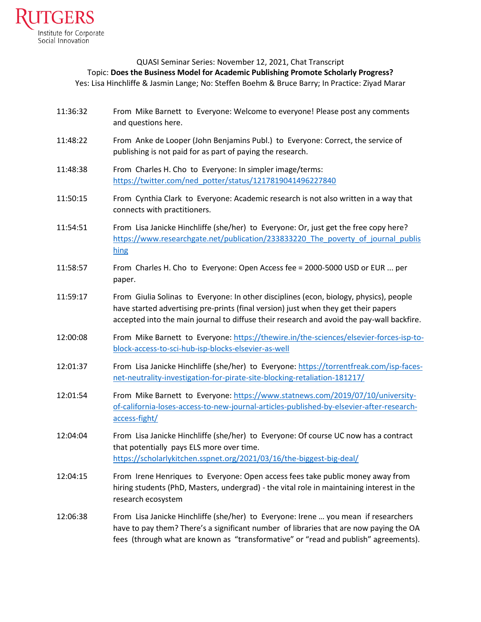

## QUASI Seminar Series: November 12, 2021, Chat Transcript Topic: **Does the Business Model for Academic Publishing Promote Scholarly Progress?** Yes: Lisa Hinchliffe & Jasmin Lange; No: Steffen Boehm & Bruce Barry; In Practice: Ziyad Marar

- 11:36:32 From Mike Barnett to Everyone: Welcome to everyone! Please post any comments and questions here.
- 11:48:22 From Anke de Looper (John Benjamins Publ.) to Everyone: Correct, the service of publishing is not paid for as part of paying the research.
- 11:48:38 From Charles H. Cho to Everyone: In simpler image/terms: [https://twitter.com/ned\\_potter/status/1217819041496227840](https://twitter.com/ned_potter/status/1217819041496227840)
- 11:50:15 From Cynthia Clark to Everyone: Academic research is not also written in a way that connects with practitioners.
- 11:54:51 From Lisa Janicke Hinchliffe (she/her) to Everyone: Or, just get the free copy here? [https://www.researchgate.net/publication/233833220\\_The\\_poverty\\_of\\_journal\\_publis](https://www.researchgate.net/publication/233833220_The_poverty_of_journal_publishing)\_ [hing](https://www.researchgate.net/publication/233833220_The_poverty_of_journal_publishing)
- 11:58:57 From Charles H. Cho to Everyone: Open Access fee = 2000-5000 USD or EUR ... per paper.
- 11:59:17 From Giulia Solinas to Everyone: In other disciplines (econ, biology, physics), people have started advertising pre-prints (final version) just when they get their papers accepted into the main journal to diffuse their research and avoid the pay-wall backfire.
- 12:00:08 From Mike Barnett to Everyone: [https://thewire.in/the-sciences/elsevier-forces-isp-to](https://thewire.in/the-sciences/elsevier-forces-isp-to-block-access-to-sci-hub-isp-blocks-elsevier-as-well)[block-access-to-sci-hub-isp-blocks-elsevier-as-well](https://thewire.in/the-sciences/elsevier-forces-isp-to-block-access-to-sci-hub-isp-blocks-elsevier-as-well)
- 12:01:37 From Lisa Janicke Hinchliffe (she/her) to Everyone: [https://torrentfreak.com/isp-faces](https://torrentfreak.com/isp-faces-net-neutrality-investigation-for-pirate-site-blocking-retaliation-181217/)[net-neutrality-investigation-for-pirate-site-blocking-retaliation-181217/](https://torrentfreak.com/isp-faces-net-neutrality-investigation-for-pirate-site-blocking-retaliation-181217/)
- 12:01:54 From Mike Barnett to Everyone: [https://www.statnews.com/2019/07/10/university](https://www.statnews.com/2019/07/10/university-of-california-loses-access-to-new-journal-articles-published-by-elsevier-after-research-access-fight/)[of-california-loses-access-to-new-journal-articles-published-by-elsevier-after-research](https://www.statnews.com/2019/07/10/university-of-california-loses-access-to-new-journal-articles-published-by-elsevier-after-research-access-fight/)[access-fight/](https://www.statnews.com/2019/07/10/university-of-california-loses-access-to-new-journal-articles-published-by-elsevier-after-research-access-fight/)
- 12:04:04 From Lisa Janicke Hinchliffe (she/her) to Everyone: Of course UC now has a contract that potentially pays ELS more over time. <https://scholarlykitchen.sspnet.org/2021/03/16/the-biggest-big-deal/>
- 12:04:15 From Irene Henriques to Everyone: Open access fees take public money away from hiring students (PhD, Masters, undergrad) - the vital role in maintaining interest in the research ecosystem
- 12:06:38 From Lisa Janicke Hinchliffe (she/her) to Everyone: Irene … you mean if researchers have to pay them? There's a significant number of libraries that are now paying the OA fees (through what are known as "transformative" or "read and publish" agreements).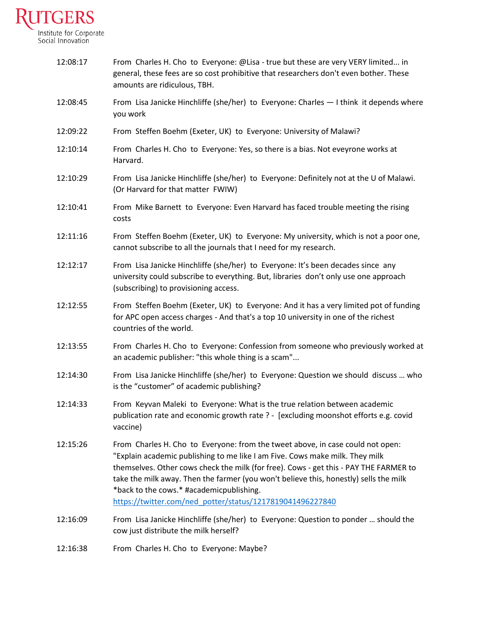

| 12:08:17 | From Charles H. Cho to Everyone: @Lisa - true but these are very VERY limited in<br>general, these fees are so cost prohibitive that researchers don't even bother. These<br>amounts are ridiculous, TBH.                                                                                                                                                                                                                                                 |
|----------|-----------------------------------------------------------------------------------------------------------------------------------------------------------------------------------------------------------------------------------------------------------------------------------------------------------------------------------------------------------------------------------------------------------------------------------------------------------|
| 12:08:45 | From Lisa Janicke Hinchliffe (she/her) to Everyone: Charles - I think it depends where<br>you work                                                                                                                                                                                                                                                                                                                                                        |
| 12:09:22 | From Steffen Boehm (Exeter, UK) to Everyone: University of Malawi?                                                                                                                                                                                                                                                                                                                                                                                        |
| 12:10:14 | From Charles H. Cho to Everyone: Yes, so there is a bias. Not eveyrone works at<br>Harvard.                                                                                                                                                                                                                                                                                                                                                               |
| 12:10:29 | From Lisa Janicke Hinchliffe (she/her) to Everyone: Definitely not at the U of Malawi.<br>(Or Harvard for that matter FWIW)                                                                                                                                                                                                                                                                                                                               |
| 12:10:41 | From Mike Barnett to Everyone: Even Harvard has faced trouble meeting the rising<br>costs                                                                                                                                                                                                                                                                                                                                                                 |
| 12:11:16 | From Steffen Boehm (Exeter, UK) to Everyone: My university, which is not a poor one,<br>cannot subscribe to all the journals that I need for my research.                                                                                                                                                                                                                                                                                                 |
| 12:12:17 | From Lisa Janicke Hinchliffe (she/her) to Everyone: It's been decades since any<br>university could subscribe to everything. But, libraries don't only use one approach<br>(subscribing) to provisioning access.                                                                                                                                                                                                                                          |
| 12:12:55 | From Steffen Boehm (Exeter, UK) to Everyone: And it has a very limited pot of funding<br>for APC open access charges - And that's a top 10 university in one of the richest<br>countries of the world.                                                                                                                                                                                                                                                    |
| 12:13:55 | From Charles H. Cho to Everyone: Confession from someone who previously worked at<br>an academic publisher: "this whole thing is a scam"                                                                                                                                                                                                                                                                                                                  |
| 12:14:30 | From Lisa Janicke Hinchliffe (she/her) to Everyone: Question we should discuss  who<br>is the "customer" of academic publishing?                                                                                                                                                                                                                                                                                                                          |
| 12:14:33 | From Keyvan Maleki to Everyone: What is the true relation between academic<br>publication rate and economic growth rate ? - [excluding moonshot efforts e.g. covid<br>vaccine)                                                                                                                                                                                                                                                                            |
| 12:15:26 | From Charles H. Cho to Everyone: from the tweet above, in case could not open:<br>"Explain academic publishing to me like I am Five. Cows make milk. They milk<br>themselves. Other cows check the milk (for free). Cows - get this - PAY THE FARMER to<br>take the milk away. Then the farmer (you won't believe this, honestly) sells the milk<br>*back to the cows.* #academicpublishing.<br>https://twitter.com/ned_potter/status/1217819041496227840 |
| 12:16:09 | From Lisa Janicke Hinchliffe (she/her) to Everyone: Question to ponder  should the<br>cow just distribute the milk herself?                                                                                                                                                                                                                                                                                                                               |
| 12:16:38 | From Charles H. Cho to Everyone: Maybe?                                                                                                                                                                                                                                                                                                                                                                                                                   |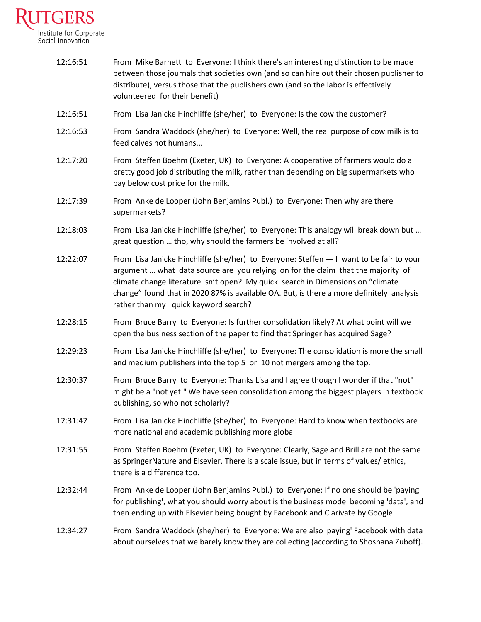

| 12:16:51 | From Mike Barnett to Everyone: I think there's an interesting distinction to be made<br>between those journals that societies own (and so can hire out their chosen publisher to<br>distribute), versus those that the publishers own (and so the labor is effectively<br>volunteered for their benefit)                                                                                           |
|----------|----------------------------------------------------------------------------------------------------------------------------------------------------------------------------------------------------------------------------------------------------------------------------------------------------------------------------------------------------------------------------------------------------|
| 12:16:51 | From Lisa Janicke Hinchliffe (she/her) to Everyone: Is the cow the customer?                                                                                                                                                                                                                                                                                                                       |
| 12:16:53 | From Sandra Waddock (she/her) to Everyone: Well, the real purpose of cow milk is to<br>feed calves not humans                                                                                                                                                                                                                                                                                      |
| 12:17:20 | From Steffen Boehm (Exeter, UK) to Everyone: A cooperative of farmers would do a<br>pretty good job distributing the milk, rather than depending on big supermarkets who<br>pay below cost price for the milk.                                                                                                                                                                                     |
| 12:17:39 | From Anke de Looper (John Benjamins Publ.) to Everyone: Then why are there<br>supermarkets?                                                                                                                                                                                                                                                                                                        |
| 12:18:03 | From Lisa Janicke Hinchliffe (she/her) to Everyone: This analogy will break down but<br>great question  tho, why should the farmers be involved at all?                                                                                                                                                                                                                                            |
| 12:22:07 | From Lisa Janicke Hinchliffe (she/her) to Everyone: Steffen - I want to be fair to your<br>argument  what data source are you relying on for the claim that the majority of<br>climate change literature isn't open? My quick search in Dimensions on "climate<br>change" found that in 2020 87% is available OA. But, is there a more definitely analysis<br>rather than my quick keyword search? |
| 12:28:15 | From Bruce Barry to Everyone: Is further consolidation likely? At what point will we<br>open the business section of the paper to find that Springer has acquired Sage?                                                                                                                                                                                                                            |
| 12:29:23 | From Lisa Janicke Hinchliffe (she/her) to Everyone: The consolidation is more the small<br>and medium publishers into the top 5 or 10 not mergers among the top.                                                                                                                                                                                                                                   |
| 12:30:37 | From Bruce Barry to Everyone: Thanks Lisa and I agree though I wonder if that "not"<br>might be a "not yet." We have seen consolidation among the biggest players in textbook<br>publishing, so who not scholarly?                                                                                                                                                                                 |
| 12:31:42 | From Lisa Janicke Hinchliffe (she/her) to Everyone: Hard to know when textbooks are<br>more national and academic publishing more global                                                                                                                                                                                                                                                           |
| 12:31:55 | From Steffen Boehm (Exeter, UK) to Everyone: Clearly, Sage and Brill are not the same<br>as SpringerNature and Elsevier. There is a scale issue, but in terms of values/ ethics,<br>there is a difference too.                                                                                                                                                                                     |
| 12:32:44 | From Anke de Looper (John Benjamins Publ.) to Everyone: If no one should be 'paying<br>for publishing', what you should worry about is the business model becoming 'data', and<br>then ending up with Elsevier being bought by Facebook and Clarivate by Google.                                                                                                                                   |
| 12:34:27 | From Sandra Waddock (she/her) to Everyone: We are also 'paying' Facebook with data<br>about ourselves that we barely know they are collecting (according to Shoshana Zuboff).                                                                                                                                                                                                                      |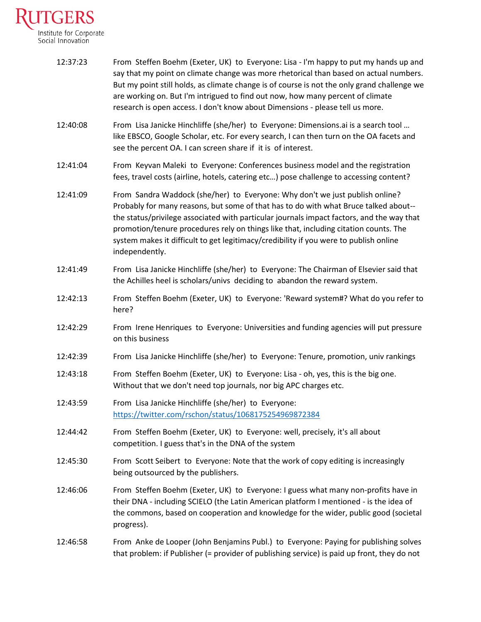

| 12:37:23 | From Steffen Boehm (Exeter, UK) to Everyone: Lisa - I'm happy to put my hands up and<br>say that my point on climate change was more rhetorical than based on actual numbers.<br>But my point still holds, as climate change is of course is not the only grand challenge we<br>are working on. But I'm intrigued to find out now, how many percent of climate<br>research is open access. I don't know about Dimensions - please tell us more.                      |
|----------|----------------------------------------------------------------------------------------------------------------------------------------------------------------------------------------------------------------------------------------------------------------------------------------------------------------------------------------------------------------------------------------------------------------------------------------------------------------------|
| 12:40:08 | From Lisa Janicke Hinchliffe (she/her) to Everyone: Dimensions.ai is a search tool<br>like EBSCO, Google Scholar, etc. For every search, I can then turn on the OA facets and<br>see the percent OA. I can screen share if it is of interest.                                                                                                                                                                                                                        |
| 12:41:04 | From Keyvan Maleki to Everyone: Conferences business model and the registration<br>fees, travel costs (airline, hotels, catering etc) pose challenge to accessing content?                                                                                                                                                                                                                                                                                           |
| 12:41:09 | From Sandra Waddock (she/her) to Everyone: Why don't we just publish online?<br>Probably for many reasons, but some of that has to do with what Bruce talked about--<br>the status/privilege associated with particular journals impact factors, and the way that<br>promotion/tenure procedures rely on things like that, including citation counts. The<br>system makes it difficult to get legitimacy/credibility if you were to publish online<br>independently. |
| 12:41:49 | From Lisa Janicke Hinchliffe (she/her) to Everyone: The Chairman of Elsevier said that<br>the Achilles heel is scholars/univs deciding to abandon the reward system.                                                                                                                                                                                                                                                                                                 |
| 12:42:13 | From Steffen Boehm (Exeter, UK) to Everyone: 'Reward system#? What do you refer to<br>here?                                                                                                                                                                                                                                                                                                                                                                          |
| 12:42:29 | From Irene Henriques to Everyone: Universities and funding agencies will put pressure<br>on this business                                                                                                                                                                                                                                                                                                                                                            |
| 12:42:39 | From Lisa Janicke Hinchliffe (she/her) to Everyone: Tenure, promotion, univ rankings                                                                                                                                                                                                                                                                                                                                                                                 |
| 12:43:18 | From Steffen Boehm (Exeter, UK) to Everyone: Lisa - oh, yes, this is the big one.<br>Without that we don't need top journals, nor big APC charges etc.                                                                                                                                                                                                                                                                                                               |
| 12:43:59 | From Lisa Janicke Hinchliffe (she/her) to Everyone:<br>https://twitter.com/rschon/status/1068175254969872384                                                                                                                                                                                                                                                                                                                                                         |
| 12:44:42 | From Steffen Boehm (Exeter, UK) to Everyone: well, precisely, it's all about<br>competition. I guess that's in the DNA of the system                                                                                                                                                                                                                                                                                                                                 |
| 12:45:30 | From Scott Seibert to Everyone: Note that the work of copy editing is increasingly<br>being outsourced by the publishers.                                                                                                                                                                                                                                                                                                                                            |
| 12:46:06 | From Steffen Boehm (Exeter, UK) to Everyone: I guess what many non-profits have in<br>their DNA - including SCIELO (the Latin American platform I mentioned - is the idea of<br>the commons, based on cooperation and knowledge for the wider, public good (societal<br>progress).                                                                                                                                                                                   |
| 12:46:58 | From Anke de Looper (John Benjamins Publ.) to Everyone: Paying for publishing solves<br>that problem: if Publisher (= provider of publishing service) is paid up front, they do not                                                                                                                                                                                                                                                                                  |